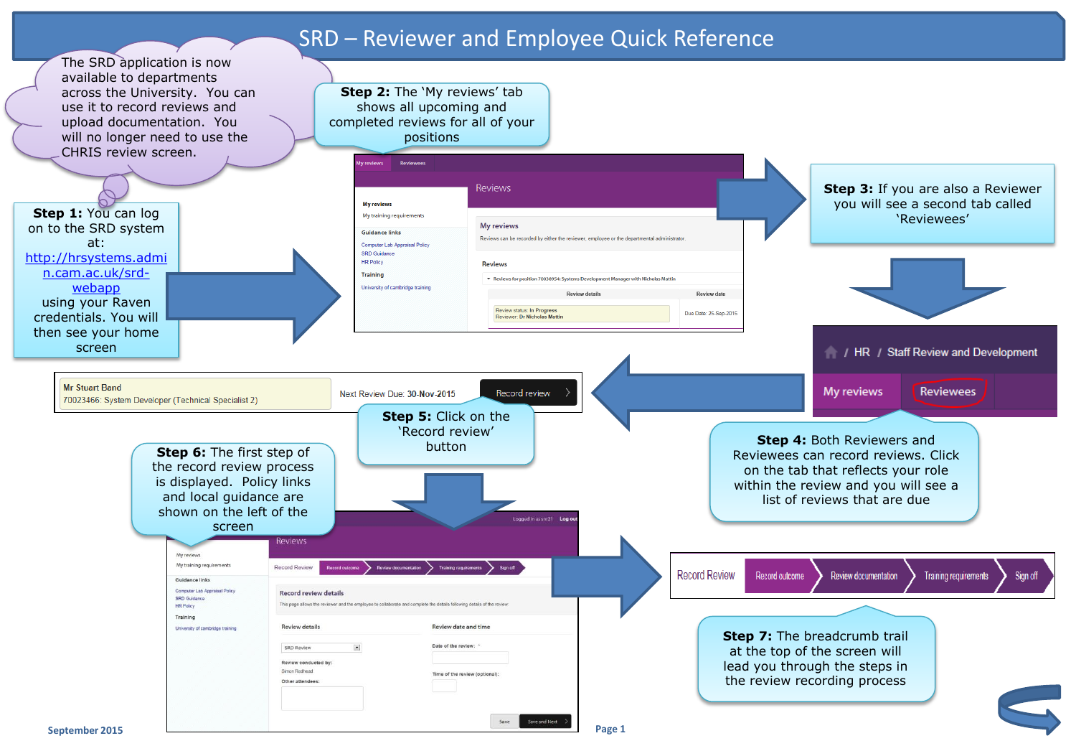## SRD – Reviewer and Employee Quick Reference